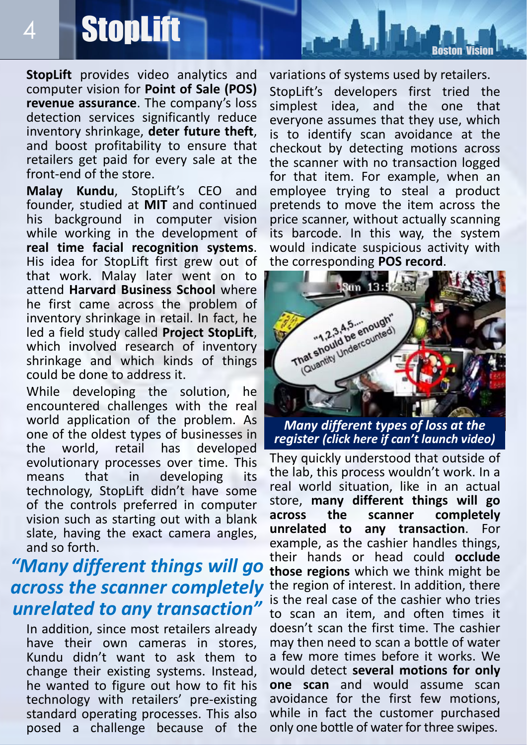## **StopLift**

4

**StopLift** provides video analytics and computer vision for **Point of Sale (POS) revenue assurance**. The company's loss detection services significantly reduce inventory shrinkage, **deter future theft**, and boost profitability to ensure that retailers get paid for every sale at the front-end of the store.

**Malay Kundu**, StopLift's CEO and founder, studied at **MIT** and continued his background in computer vision while working in the development of **real time facial recognition systems**. His idea for StopLift first grew out of that work. Malay later went on to attend **Harvard Business School** where he first came across the problem of inventory shrinkage in retail. In fact, he led a field study called **Project StopLift**, which involved research of inventory shrinkage and which kinds of things could be done to address it.

While developing the solution, he encountered challenges with the real world application of the problem. As one of the oldest types of businesses in the world, retail has developed evolutionary processes over time. This means that in developing its technology, StopLift didn't have some of the controls preferred in computer vision such as starting out with a blank slate, having the exact camera angles, and so forth.

## *"Many different things will go across the scanner completely unrelated to any transaction"*

In addition, since most retailers already have their own cameras in stores, Kundu didn't want to ask them to change their existing systems. Instead, he wanted to figure out how to fit his technology with retailers' pre-existing standard operating processes. This also posed a challenge because of the

variations of systems used by retailers.

[Boston Vision](http://www.rsipvision.com/computer-vision-news/)

StopLift's developers first tried the<br>simplest idea. and the one that simplest idea, and the one that everyone assumes that they use, which is to identify scan avoidance at the checkout by detecting motions across the scanner with no transaction logged for that item. For example, when an employee trying to steal a product pretends to move the item across the price scanner, without actually scanning its barcode. In this way, the system would indicate suspicious activity with the corresponding **POS record**.



*[Many different types of loss at the](https://www.youtube.com/watch?v=TgPqDjHtMok)  register (click here if can't launch video)*

They quickly understood that outside of the lab, this process wouldn't work. In a real world situation, like in an actual store, **many different things will go across the scanner completely unrelated to any transaction**. For example, as the cashier handles things, their hands or head could **occlude those regions** which we think might be the region of interest. In addition, there is the real case of the cashier who tries to scan an item, and often times it doesn't scan the first time. The cashier may then need to scan a bottle of water a few more times before it works. We would detect **several motions for only one scan** and would assume scan avoidance for the first few motions, while in fact the customer purchased only one bottle of water for three swipes.